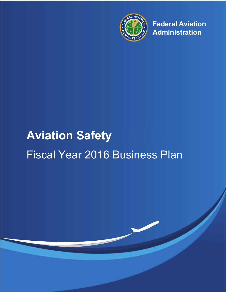

**Federal Aviation Administration**

# **Aviation Safety** Fiscal Year 2016 Business Plan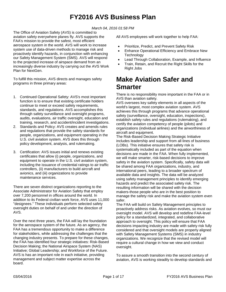# **FY2016 AVS Business Plan**

*March 04, 2016 01:58 PM*

The Office of Aviation Safety (AVS) is committed to aviation safety everywhere planes fly. AVS supports the FAA's mission to provide the safest, most efficient aerospace system in the world. AVS will work to increase system use of data-driven methods to manage risk and proactively identify hazards, in conjunction with enhancing our Safety Management System (SMS). AVS will respond to the projected increase of airspace demand from an increasingly diverse industry by carrying out the AVS Work Plan for NextGen.

To fulfill this mission, AVS directs and manages safety programs in three primary areas:

- 1. Continued Operational Safety: AVS's most important function is to ensure that existing certificate holders continue to meet or exceed safety requirements, standards, and regulations. AVS accomplishes this through safety surveillance and oversight programs, audits, evaluations, air traffic oversight, education and training, research, and accident/incident investigations.
- 2. Standards and Policy: AVS creates and amends rules and regulations that provide the safety standards for people, organizations, and equipment operating in the U.S. civil aviation system. AVS does this through policy development, analysis, and rulemaking.
- 3. Certification: AVS issues initial and renews existing certificates that allow (i) people, organizations, and equipment to operate in the U.S. civil aviation system, including the issuance of credential ratings to air traffic controllers, (ii) manufacturers to build aircraft and avionics, and (iii) organizations to provide maintenance services.

There are seven distinct organizations reporting to the Associate Administrator for Aviation Safety that employ over 7,200 personnel in offices around the world. In addition to its Federal civilian work force, AVS uses 11,000 "designees." These individuals perform selected safety oversight duties on behalf of and under the direction of AVS.

Over the next three years, the FAA will lay the foundation for the aerospace system of the future. As an agency, the FAA has a tremendous opportunity to make a difference for stakeholders, while addressing the challenges that the changing industry presents. To prepare for these changes, the FAA has identified four strategic initiatives: Risk-Based Decision Making; the National Airspace System (NAS) Initiative; Global Leadership; and Workforce of the Future. AVS is has an important role in each initiative, providing management and subject matter expertise across the board.

All AVS employees will work together to help FAA:

- Prioritize, Predict, and Prevent Safety Risk
- Enhance Operational Efficiency and Embrace New **Technology**
- Lead Through Collaboration, Example, and Influence
- Train, Retain, and Recruit the Right Skills for the Right Jobs

# **Make Aviation Safer and Smarter**

There is no responsibility more important in the FAA or in AVS than aviation safety.

AVS oversees key safety elements in all aspects of the world's largest, most complex aviation system. AVS achieves this through programs that advance operational safety (surveillance, oversight, education, inspections), establish safety rules and regulations (rulemaking), and certify the aviation competency of people (pilots) and organizations (individual airlines) and the airworthiness of aircraft and equipment.

The Risk-Based Decision Making Strategic Initiative includes leadership and support from all lines of business (LOBs). This initiative ensures that safety risk is systematically included as part of the equation when decisions are made in the FAA. When fully implemented, we will make smarter, risk-based decisions to improve safety in the aviation system. Specifically, safety data will be shared among FAA organizations, industry, and international peers, leading to a broader spectrum of available data and insights. The data will be analyzed using safety management principles to identify emerging hazards and predict the associated safety risk. The resulting information will be shared with the decision makers-those people who are in the best position to manage the safety risk and make the aviation system even safer.

The FAA will build on Safety Management principles to proactively address risks. As aviation evolves, so must our oversight model. AVS will develop and redefine FAA-level policy for a standardized, integrated, and collaborative approach to oversight. This policy will ensure that FAA decisions impacting industry are made with safety risk fully considered and that oversight models are properly aligned with Safety Management Systems (SMS) in industry organizations. We recognize that the revised model will require a cultural change in how we view and conduct oversight.

To assure a smooth transition into the second century of aviation, AVS is working steadily to develop standards and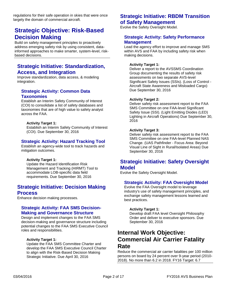regulations for their safe operation in skies that were once largely the domain of commercial aircraft.

# **Strategic Objective: Risk-Based Decision Making**

Build on safety management principles to proactively address emerging safety risk by using consistent, datainformed approaches to make smarter, system-level, riskbased decisions.

### **Strategic Initiative: Standardization, Access, and Integration**

Improve standardization, data access, & modeling integration.

### **Strategic Activity: Common Data Taxonomies**

Establish an Interim Safety Community of Interest (COI) to consolidate a list of safety databases and taxonomies that are of high value to safety analyst across the FAA.

### **Activity Target 1:**

Establish an Interim Safety Community of Interest (COI). Due September 30, 2016

### **Strategic Activity: Hazard Tracking Tool**

Establish an agency-wide tool to track hazards and mitigation outcomes.

#### **Activity Target 1:**

Update the Hazard Identification Risk Management and Tracking (HIRMT) Tool to accommodate LOB-specific data field requirements. Due September 30, 2016

### **Strategic Initiative: Decision Making Process**

Enhance decision making processes.

### **Strategic Activity: FAA SMS Decision-Making and Governance Structure**

Design and implement changes to the FAA SMS decision-making and governance structure including potential changes to the FAA SMS Executive Council roles and responsibilities.

#### **Activity Target 1:**

Update the FAA SMS Committee Charter and develop the FAA SMS Executive Council Charter to align with the Risk-Based Decision Making Strategic Initiative. Due April 30, 2016

### **Strategic Initiative: RBDM Transition of Safety Management**

Evolve the Safety Oversight Model.

### **Strategic Activity: Safety Performance Management**

Lead the agency effort to improve and manage SMS within AVS and FAA by including safety risk when making decisions.

#### **Activity Target 1:**

Deliver a report to the AVSSMS Coordination Group documenting the results of safety risk assessments on two separate AVS-level Significant Safety Issues (SSIs). (Loss of Control - Aircraft State Awareness and Misloaded Cargo) Due September 30, 2016

#### **Activity Target 2:**

Deliver safety risk assessment report to the FAA SMS Committee on one FAA-level Significant Safety Issue (SSI). (Light Emitting Diodes (LED) Lighting in Aircraft Operations) Due September 30, 2016

#### **Activity Target 3:**

Deliver safety risk assessment report to the FAA SMS Committee on one FAA-level Planned NAS Change. (UAS Pathfinder - Focus Area: Beyond Visual Line of Sight in Rural/Isolated Areas) Due September 30, 2016

### **Strategic Initiative: Safety Oversight Model**

Evolve the Safety Oversight Model.

### **Strategic Activity: FAA Oversight Model**

Evolve the FAA Oversight model to leverage industry's use of safety management principles, and exchange safety management lessons learned and best practices.

### **Activity Target 1:**

Develop draft FAA level Oversight Philosophy Order and deliver to executive sponsors. Due September 30, 2016

# **Internal Work Objective: Commercial Air Carrier Fatality Rate**

Reduce the commercial air carrier fatalities per 100 million persons on board by 24 percent over 9-year period (2010- 2018). No more than 6.2 in 2018. FY16 Target: 6.7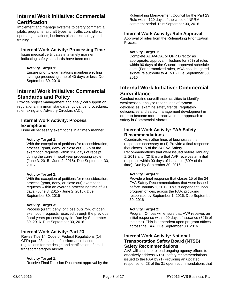# **Internal Work Initiative: Commercial Certification**

Implement and manage systems to certify commercial pilots, programs, aircraft types, air traffic controllers, operating locations, business plans, technology and training.

### **Internal Work Activity: Processing Time**

Issue medical certificates in a timely manner indicating safety standards have been met.

### **Activity Target 1:**

Ensure priority examinations maintain a rolling average processing time of 40 days or less. Due September 30, 2016

# **Internal Work Initiative: Commercial Standards and Policy**

Provide project management and analytical support on regulations, minimum standards, guidance, procedures, rulemaking and Advisory Circulars (ACs).

### **Internal Work Activity: Process Exemptions**

Issue all necessary exemptions in a timely manner.

### **Activity Target 1:**

With the exception of petitions for reconsideration, process (grant, deny, or close out) 85% of the exemption requests within 120 days of receipt during the current fiscal year processing cycle. (June 3, 2015 - June 2, 2016). Due September 30, 2016

### **Activity Target 2:**

With the exception of petitions for reconsideration, process (grant, deny, or close out) exemption requests within an average processing time of 90 days. (June 3, 2015 - June 2, 2016). Due September 30, 2016

### **Activity Target 3:**

Process (grant, deny, or close out) 75% of open exemption requests received through the previous fiscal years processing cycle. Due by September 30, 2016. Due September 30, 2016

### **Internal Work Activity: Part 23**

Revise Title 14, Code of Federal Regulations (14 CFR) part 23 as a set of performance based regulations for the design and certification of small transport category aircraft.

### **Activity Target 1:**

Receive Final Decision Document approval by the

Rulemaking Management Council for the Part 23 Rule within 120 days of the close of NPRM comment period. Due September 30, 2016

### **Internal Work Activity: Rule Approval**

Approval of rules from the Rulemaking Prioritization Process.

### **Activity Target 1:**

Complete ADA/AOA, or OPR Director as appropriate, approval milestone for 85% of rules within 90 days of the Council-approved schedule date. (For harmonized rules, AOA has delegated signature authority to AIR-1.) Due September 30, 2016

## **Internal Work Initiative: Commercial Surveillance**

Conduct routine surveillance activities to identify weaknesses, analyze root causes of system deficiencies, examine safety trends, regulatory deficiencies and safety management development in order to become more proactive in our approach to safety in Commercial Aircraft.

### **Internal Work Activity: FAA Safety Recommendations**

Coordinate with other lines of businesses the responses necessary to (1) Provide a final response that closes 15 of the 24 FAA Safety Recommendations that were issued before January 1, 2012 and, (2) Ensure that AVP receives an initial response within 90 days of issuance (80% of the time). Due by September 30, 2016.

### **Activity Target 1:**

Provide a final response that closes 15 of the 24 FAA Safety Recommendations that were issued before January 1, 2012. This is dependent upon program offices, across the FAA, providing responses by September 1, 2016. Due September 30, 2016

### **Activity Target 2:**

Program Offices will ensure that AVP receives an initial response within 90 days of issuance (80% of the time). This is dependent upon program offices across the FAA. Due September 30, 2016

### **Internal Work Activity: National Transportation Safety Board (NTSB) Safety Recommendations**

AVS will continue to lead ongoing agency efforts to effectively address NTSB safety recommendations issued to the FAA by (1) Providing an updated response for 23 of the 31 open recommendations that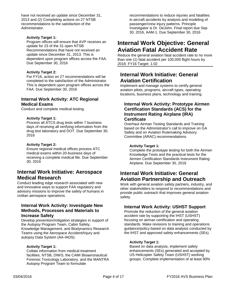have not received an update since December 31, 2013 and (2) Completing actions on 27 NTSB recommendations to the satisfaction of the Administrator.

### **Activity Target 1:**

Program offices will ensure that AVP receives an update for 23 of the 31 open NTSB Recommendations that have not received an update since December 31, 2013. This is dependent upon program offices across the FAA. Due September 30, 2016

#### **Activity Target 2:**

For FY16, action on 27 recommendations will be completed to the satisfaction of the Administrator. This is dependent upon program offices across the FAA. Due September 30, 2016

### **Internal Work Activity: ATC Regional Medical Exams**

Conduct and complete medical testing.

#### **Activity Target 1:**

Process all ATCS drug tests within 7 business days of receiving all verifying information from the drug test laboratory and DOT. Due September 30, 2016

#### **Activity Target 2:**

Ensure regional medical offices process ATC medical exams within 20-business days of receiving a complete medical file. Due September 30, 2016

### **Internal Work Initiative: Aerospace Medical Research**

Conduct leading edge research associated with new and innovative ways to support FAA regulatory and advisory missions to improve the safety of humans in civilian aerospace operations.

### **Internal Work Activity: Investigate New Methods, Processes and Materials to Increase Safety**

Develop prevention/mitigation strategies in support of the Autopsy Program Team, Cabin Safety, Knowledge Management, and Biodynamics Research Teams using the Aerospace Accident/Injury and autopsy Data System (AA-IADS).

#### **Activity Target 1:**

Collate information from medical treatment facilities, NTSB, DIWS, the CAMI Bioaeronautical Forensic Toxicology Laboratory, and the MANTRA Autopsy Program Team to formulate

recommendations to reduce injuries and fatalities in aircraft accidents by analysis and modeling of passenger/crew injury patterns. Principle Investigator is Dr. DeJohn. Final report due Sep 30, 2016, AAM-1. Due September 30, 2016

# **Internal Work Objective: General Aviation Fatal Accident Rate**

Reduce the general aviation fatal accident rate to no more than one (1) fatal accident per 100,000 flight hours by 2018. FY16 Target: 1.02

### **Internal Work Initiative: General Aviation Certification**

Implement and manage systems to certify general aviation pilots, programs, aircraft types, operating locations, business plans, technology and training.

### **Internal Work Activity: Prototype Airmen Certification Standards (ACS) for the Instrument Rating Airplane (IRA) Certificate**

Overhaul Airman Testing Standards and Training based on the Administrator's call to improve on GA Safety and on Aviation Rulemaking Advisory Committee (ARAC) recommendations.

#### **Activity Target 1:**

Complete the prototype testing for both the Airmen Knowledge Tests and the practical tests for the Airmen Certification Standards Instrument Rating Airplane. Due September 30, 2016

## **Internal Work Initiative: General Aviation Partnership and Outreach**

Work with general aviation safety partners, industry, and other stakeholders to respond to recommendations and provide public outreach that improves general aviation safety.

### **Internal Work Activity: USHST Support**

Promote the reduction of the general aviation accident rate by supporting the IHST (USHST) focusing on airman certification and operating standards. Make revisions to training and operations guidance/policy based on data analysis conducted by the IHST and approved safety enhancements (SEs).

### **Activity Target 1:**

Based on data analysis, implement safety enhancements (SEs) generated and accepted by US Helicopter Safety Team (USHST) working groups. Complete implementation of at least 90%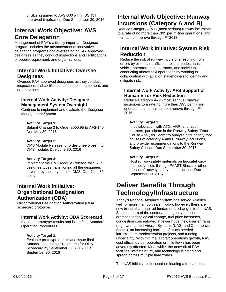# **Internal Work Objective: AVS Core Delegation**

Management of FAA's critically important Designee program includes the advancement of innovative delegation programs and overseeing of FAA approved designees as they conduct inspections and certifications of people, equipment, and organizations.

# **Internal Work Initiative: Oversee Designees**

Oversee FAA-approved designees as they conduct inspections and certifications of people, equipment, and organizations.

### **Internal Work Activity: Designee Management System Oversight**

Continue to implement and evaluate the Designee Management System.

### **Activity Target 1:**

Submit Change 3 to Order 8000.95 to AFS-140. Due May 30, 2016

### **Activity Target 2:**

DMS Module Release for 5 designee types into DMS module. Due June 30, 2016

### **Activity Target 3:**

Implement the DMS Module Release for 5 AFS designee types transitioning all the designees covered by these types into DMS. Due June 30, 2016

### **Internal Work Initiative: Organizational Designation Authorization (ODA)**

Organizational Designation Authorization (ODA) scorecard prototype.

### **Internal Work Activity: ODA Scorecard**

Evaluate prototype results and issue final Standard Operating Procedures.

### **Activity Target 1:**

Evaluate prototype results and issue final Standard Operating Procedures for ODA Scorecard by September 30, 2016. Due September 30, 2016

# **Internal Work Objective: Runway Incursions (Category A and B)**

Reduce Category A & B (most serious) runway incursions to a rate of no more than .395 per million operations, and maintain or improve through FY2018.

# **Internal Work Initiative: System Risk Reduction**

Reduce the risk of runway incursions resulting from errors by pilots, air traffic controllers, pedestrians, vehicle operators, tug operators, and individuals conducting aircraft taxi operations by working in collaboration with aviation stakeholders to identify and mitigate risk.

### **Internal Work Activity: AFS Support of Human Error Risk Reduction**

Reduce Category A&B (most serious) runway incursions to a rate no more than .395 per million operations, and maintain or improve through FY 2016.

### **Activity Target 1:**

In collaboration with ATO, ARP, and labor partners, participate in the Runway Safety "Root Cause Analysis Team" to analyze and identify root causes of category A and B runway incursions, and provide recommendations to the Runway Safety Council. Due September 30, 2016

### **Activity Target 2:**

Host runway safety materials on faa.safety.gov and notify pilots through FAAST Blasts or other means of runway safety best practices. Due September 30, 2016

# **Deliver Benefits Through Technology/Infrastructure**

Today's National Airspace System has served America well for more than 50 years. Today, however, there are new trends that required fundamental changes to the NAS. Since the turn of the century, the agency has seen dramatic technological change, fuel price increases, congestion concentrated in fewer hubs, new user entrants (e.g., Unmanned Aircraft Systems (UAS) and Commercial Space), an increasing backlog of much needed infrastructure modernization projects, and funding uncertainty. With minimal aircraft operations growth, NAS cost efficiency per operation or mile flown has been adversely affected. Meanwhile, the network of FAA facilities, infrastructure, and technology is aging and spread across multiple time zones.

The NAS initiative is focused on leading a fundamental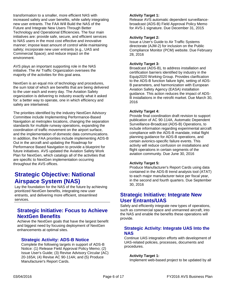transformation to a smaller, more efficient NAS with increased safety and user benefits, while safely integrating new user entrants. The FAA Will Build the NAS of the Future and Integrate New Users Through Better Technology and Operational Efficiencies. The four main initiatives are: provide safe, secure, and efficient services to NAS users in the most cost effective and innovative manner; impose least amount of control while maintaining safety; incorporate new user entrants (e.g., UAS and Commercial Space); and reduce impact on the environment.

AVS plays an important supporting role in the NAS initiative. The Air Traffic Organization oversees the majority of the activities for this goal area.

NextGen is an equal mix of technology and procedures, the sum total of which are benefits that are being delivered to the user each and every day. The Aviation Safety organization is delivering to industry exactly what it asked for: a better way to operate, one in which efficiency and safety are intertwined.

The priorities identified by the industry NextGen Advisory Committee include Implementing Performance-Based Navigation at metroplex locations, changing the separation standards for multiple runway operations, expanding the coordination of traffic movement on the airport surface, and the implementation of domestic data communications. In addition, the FAA priorities include implementing ADS-B Out in the aircraft and updating the Roadmap for Performance Based Navigation to provide a blueprint for future initiatives. AVS updated the Aviation Safety Work Plan for NextGen, which catalogs all of the activities that are specific to NextGen implementation occurring throughout the AVS offices.

# **Strategic Objective: National Airspace System (NAS)**

Lay the foundation for the NAS of the future by achieving prioritized NextGen benefits, integrating new user entrants, and delivering more efficient, streamlined services.

## **Strategic Initiative: Focus to Achieve NextGen Benefits**

Achieve the NextGen goals that have the largest benefit and biggest need by focusing deployment of NextGen enhancements at optimal sites.

### **Strategic Activity: ADS-B Notice**

Complete the following targets in support of ADS-B Notice: (1) Release Field Approval Policy Memo; (2) Issue User's Guide; (3) Revise Advisory Circular (AC) 20-165A; (4) Revise AC 90-114A; and (5) Produce Manufacturer's Report Cards.

### **Activity Target 1:**

Release AVS automatic dependent surveillancebroadcast (ADS-B) Field Approval Policy Memo for AVS-1 signature. Due December 31, 2015

### **Activity Target 2:**

Issue a User's Guide to Air Traffic Systems directorate (AJM-2) for inclusion on the Public Compliance Monitor (PCM) website. Due February 28, 2016

### **Activity Target 3:**

Broadcast (ADS-B), to address installation and certification barriers identified by industry in the Equip2020 Working Group. Provides clarification to the ADS-B function failure light, setting of ADS-B parameters, and harmonization with European Aviation Safety Agency (EASA) installation guidance. This action reduces the impact of ADS-B installations in the retrofit market. Due March 30, 2016

### **Activity Target 4:**

Provide final coordination draft revision to support publication of AC 90-114A, Automatic Dependent Surveillance-Broadcast (ADS-B) Operations, to include information regarding experimental aircraft compliance with the ADS-B mandate, initial flight planning guidance for ADS-B operations, and certain avionics-specific failure events. This activity will reduce confusion on installations and flight operations in certain segments of the aviation community. Due June 30, 2016

### **Activity Target 5:**

Produce Manufacturer's Report Cards using data contained in the ADS-B trend analysis tool (ATAT) to each major manufacturer twice per fiscal year, in the second and fourth quarters. Due September 30, 2016

### **Strategic Initiative: Integrate New User Entrants/UAS**

Safely and efficiently integrate new types of operations, such as commercial space and unmanned aircraft, into the NAS and enable the benefits these operations will provide.

### **Strategic Activity: Integrate UAS Into the NAS**

Continue UAS integration efforts with development of UAS-related policies, processes, documents and procedures.

### **Activity Target 1:**

Implement web-based project to be updated by all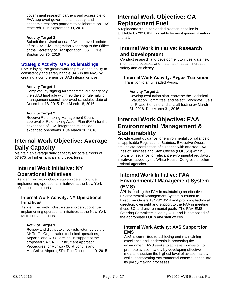government research partners and accessible to FAA approved government, industry, and academia research partners to collaborate on UAS research. Due September 30, 2016

### **Activity Target 2:**

Submit the revised annual FAA approved update of the UAS Civil Integration Roadmap to the Office of the Secretary of Transportation (OST). Due September 30, 2016

### **Strategic Activity: UAS Rulemakings**

FAA is laying the groundwork to provide the ability to consistently and safely handle UAS in the NAS by creating a comprehensive UAS integration plan.

### **Activity Target 1:**

Complete, by signing for transmittal out of agency, the sUAS final rule within 90 days of rulemaking management council approved scheduled date of December 18, 2015. Due March 18, 2016

### **Activity Target 2:**

Receive Rulemaking Management Council approval of Rulemaking Action Plan (RAP) for the next phase of UAS integration to include expanded operations. Due March 30, 2016

# **Internal Work Objective: Average Daily Capacity**

Maintain an average daily capacity for core airports of 57,975, or higher, arrivals and departures.

### **Internal Work Initiative: NY Operational Initiatives**

As identified with industry stakeholders, continue implementing operational initiatives at the New York Metropolitan airports.

### **Internal Work Activity: NY Operational Initiatives**

As identified with industry stakeholders, continue implementing operational initiatives at the New York Metropolitan airports.

### **Activity Target 1:**

Review and distribute checklists returned by the Air Traffic Organization technical operations, Airports, and ATO Terminal in support of the proposed SA CAT II Instrument Approach Procedures for Runway 06 at Long Island MacArthur Airport (ISP). Due December 10, 2015

# **Internal Work Objective: GA Replacement Fuel**

A replacement fuel for leaded aviation gasoline is available by 2018 that is usable by most general aviation aircraft.

### **Internal Work Initiative: Research and Development**

Conduct research and development to investigate new methods, processes and materials that can increase safety and efficiency.

### **Internal Work Activity: Avgas Transition**

Transition to an unleaded Avgas.

### **Activity Target 1:**

Develop evaluation plan, convene the Technical Evaluation Committee, and select Candidate Fuels for Phase 2 engine and aircraft testing by March 31, 2016. Due March 31, 2016

# **Internal Work Objective: FAA Environmental Management & Sustainability**

Provide expert guidance for environmental compliance of all applicable Regulations, Statutes, Executive Orders, etc. Initiate coordination of guidance with affected FAA Lines of Business and Staff Offices (LOB/SO) within 3 months of issuance for relevant environmental regulatory initiatives issued by the White House, Congress or other Federal agencies.

### **Internal Work Initiative: FAA Environmental Management System (EMS)**

APL is leading the FAA in maintaining an effective Environmental Management System pursuant to Executive Orders 13423/13514 and providing technical direction, oversight and support to the FAA in meeting these EO and environmental goals. The FAA EMS Steering Committee is led by AEE and is composed of the appropriate LOB's and staff offices.

### **Internal Work Activity: AVS Support for EMS**

AVS is committed to achieving and maintaining excellence and leadership in protecting the environment. AVS seeks to achieve its mission to promote aviation safety by developing effective means to sustain the highest level of aviation safety while incorporating environmental consciousness into its policy-making processes.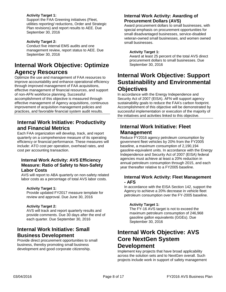### **Activity Target 1:**

Support the FAA Greening initiatives (Fleet, utilities reporting/ reductions, Order and Strategic Plan revisions) and report results to AEE. Due September 30, 2016

### **Activity Target 2:**

Conduct five internal EMS audits and one management review, report status to AEE. Due September 30, 2016

# **Internal Work Objective: Optimize Agency Resources**

Optimize the use and management of FAA resources to improve accountability and enhance operational efficiency through improved management of FAA acquisitions, effective management of financial resources, and support of non-AFN workforce planning. Successful accomplishment of this objective is measured through effective management of Agency acquisitions, continuous improvement of acquisition management policies and practices, and favorable financial system audit results.

### **Internal Work Initiative: Productivity and Financial Metrics**

Each FAA organization will develop, track, and report quarterly on a comprehensive measure of its operating efficiency or financial performance. These measures will include: ATO cost per operation, overhead rates, and cost per accounting transaction.

### **Internal Work Activity: AVS Efficiency Measure: Ratio of Safety to Non-Safety Labor Costs**

AVS will report to ABA quarterly on non-safety related labor costs as a percentage of total AVS labor costs.

### **Activity Target 1:**

Provide updated FY2017 measure template for review and approval. Due June 30, 2016

### **Activity Target 2:**

AVS will track and report quarterly results and provide comments. Due 30 days after the end of each quarter. Due September 30, 2016

### **Internal Work Initiative: Small Business Development**

Provide direct procurement opportunities to small business, thereby promoting small business development and good corporate citizenship.

### **Internal Work Activity: Awarding of Procurement Dollars (AVS)**

Award procurement dollars to small businesses, with special emphasis on procurement opportunities for small disadvantaged businesses, service-disabled veteran-owned small businesses, and women owned small businesses.

### **Activity Target 1:**

Award at least 25 percent of the total AVS direct procurement dollars to small businesses. Due September 30, 2016

# **Internal Work Objective: Support Sustainability and Environmental Objectives**

In accordance with the Energy Independence and Security Act of 2007 (EISA). AFN will support agency sustainability goals to reduce the FAA's carbon footprint. Accomplishment of this objective will be demonstrated by successful implementation or execution of the majority of the initiatives and activities linked to this objective.

# **Internal Work Initiative: Fleet Management**

Reduce FY2016 agency petroleum consumption by government fleet vehicles by 20% from the FY2005 baseline, a maximum consumption of 2,190,194 gasoline-equivalent units. In accordance with the Energy Independence and Security Act of 2007 (EISA) federal agencies must achieve at least a 20% reduction in annual petroleum consumption through 2015, and each year thereafter relative to a FY2005 baseline.

### **Internal Work Activity: Fleet Management - AFS**

In accordance with the EISA Section 142, support the Agency to achieve a 20% decrease in vehicle fleet petroleum consumption over the FY-2005 baseline.

### **Activity Target 1:**

The FY-16 AVS target is not to exceed the maximum petroleum consumption of 246,968 gasoline gallon equivalents (GGEs). Due September 30, 2016

# **Internal Work Objective: AVS Core NextGen System Development**

Implement key projects that have broad applicability across the solution sets and to NextGen overall. Such projects include work in support of safety management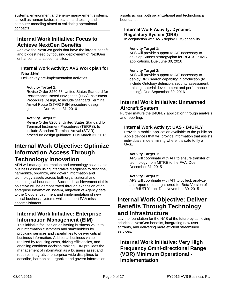systems, environment and energy management systems, as well as human factors research and testing and computer modeling aimed at validating operational concepts.

# **Internal Work Initiative: Focus to Achieve NextGen Benefits**

Achieve the NextGen goals that have the largest benefit and biggest need by focusing deployment of NextGen enhancements at optimal sites.

### **Internal Work Activity: AVS Work plan for NextGen**

Deliver key pre-implementation activities

### **Activity Target 1:**

Revise Order 8260.58, United States Standard for Performance Based Navigation (PBN) Instrument Procedure Design, to include Standard Terminal Arrival Route (STAR) PBN procedure design guidance. Due March 31, 2016

### **Activity Target 2:**

Revise Order 8260.3, United States Standard for Terminal Instrument Procedures (TERPS), to include Standard Terminal Arrival (STAR) procedure design guidance. Due March 31, 2016

# **Internal Work Objective: Optimize Information Access Through Technology Innovation**

AFN will manage information and technology as valuable business assets using integrative disciplines to describe, harmonize, organize, and govern information and technology assets across both organizational and technological boundaries. Successful achievement of this objective will be demonstrated through expansion of an enterprise information system, migration of Agency data to the Cloud environment and implementation of new critical business systems which support FAA mission accomplishment.

# **Internal Work Initiative: Enterprise Information Management (EIM)**

This initiative focuses on delivering business value to our information customers and stakeholders by providing services and capabilities to deliver critical business information. Additional business value is realized by reducing costs, driving efficiencies, and enabling confident decision making. EIM provides the management of information as a business asset and requires integrative, enterprise-wide disciplines to describe, harmonize, organize and govern information assets across both organizational and technological boundaries.

### **Internal Work Activity: Dynamic Regulatory System (DRS)**

In conjunction with AVS deploy DRS capability.

#### **Activity Target 1:**

AFS will provide support to AIT necessary to develop Sunset strategy/plan for RGL & FSIMS applications. Due June 30, 2016

### **Activity Target 2:**

AFS will provide support to AIT necessary to deploy DRS search capability in production (to include Ontology definition, security assessment, training material development and performance testing). Due September 30, 2016

## **Internal Work Initiative: Unmanned Aircraft System**

Further mature the B4UFLY application through analysis and reporting.

### **Internal Work Activity: UAS - B4UFLY**

Provide a mobile application available to the public on Apple devices that will provide information that assists individuals in determining where it is safe to fly a UAS.

#### **Activity Target 1:**

AFS will coordinate with AIT to ensure transfer of technology from MITRE to the FAA. Due December 31, 2015

### **Activity Target 2:**

AFS will coordinate with AIT to collect, analyze and report on data gathered for Beta Version of the B4UFLY app. Due November 30, 2015

# **Internal Work Objective: Deliver Benefits Through Technology and Infrastructure**

Lay the foundation for the NAS of the future by achieving prioritized NextGen benefits, integrating new user entrants, and delivering more efficient streamlined services.

# **Internal Work Initiative: Very High Frequency Omni-directional Range (VOR) Minimum Operational - Implementation**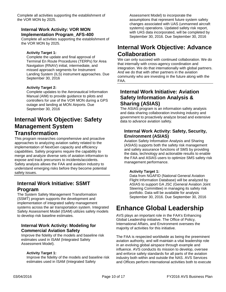Complete all activities supporting the establishment of the VOR MON by 2025.

### **Internal Work Activity: VOR MON Implementation Program\_AFS-400**

Complete all activities supporting the establishment of the VOR MON by 2025.

### **Activity Target 1:**

Complete the update and final approval of Terminal En Route Procedures (TERPs) for Area Navigation (RNAV) initial, intermediate, and missed approach segments for Instrument Landing System (ILS) instrument approaches. Due September 30, 2016

### **Activity Target 2:**

Complete updates to the Aeronautical Information Manual (AIM) to provide guidance to pilots and controllers for use of the VOR MON during a GPS outage and landing at MON Airports. Due September 30, 2016

# **Internal Work Objective: Safety Management System Transformation**

This program researches comprehensive and proactive approaches to analyzing aviation safety related to the implementation of NextGen capacity and efficiency capabilities. Safety programs require the capability to merge and analyze diverse sets of aviation information to expose and track precursors to incidents/accidents. Safety analysis allows the FAA and aviation industry to understand emerging risks before they become potential safety issues.

## **Internal Work Initiative: SSMT Program**

The System Safety Management Transformation (SSMT) program supports the development and implementation of integrated safety management systems across the air transportation system. Integrated Safety Assessment Model (ISAM) utilizes safety models to develop risk baseline estimates.

### **Internal Work Activity: Modeling for Commercial Aviation Safety**

Improve the fidelity of the models and baseline risk estimates used in ISAM (Integrated Safety Assessment Model).

### **Activity Target 1:**

Improve the fidelity of the models and baseline risk estimates used in ISAM (Integrated Safety

Assessment Model) to incorporate the assumptions that represent future system safety changes associated with UAS (unmanned aircraft systems) operations. Updated safety risk report, with UAS data incorporated, will be completed by September 30, 2016. Due September 30, 2016

# **Internal Work Objective: Advance Collaboration**

We can only succeed with continued collaboration. We do that internally with cross-agency coordination and integration. We do that internationally with global partners. And we do that with other partners in the aviation community who are investing in the future along with the FAA.

### **Internal Work Initiative: Aviation Safety Information Analysis & Sharing (ASIAS)**

The ASIAS program is an information safety analysis and data sharing collaboration involving industry and government to proactively analyze broad and extensive data to advance aviation safety.

### **Internal Work Activity: Safety, Security, Environment (ASIAS)**

Aviation Safety Information Analysis and Sharing (ASIAS) supports both the safety risk management and safety assurance functions of SMS by providing the data, technology and actionable results to enable the FAA and ASIAS users to optimize SMS safety risk management performance.

### **Activity Target 1:**

Data from NGAFID (National General Aviation Flight Information Database) will be analyzed by ASIAS to support GA JSC (General Aviation Joint Steering Committee) in managing its safety risk portfolio. Data will be available for analysis September 30, 2016. Due September 30, 2016

# **Enhance Global Leadership**

AVS plays an important role in the FAA's Enhancing Global Leadership initiative. The Office of Policy, International Affairs, and Environment oversees the majority of activities for this initiative.

The FAA is respected worldwide as being the preeminent aviation authority, and will maintain a vital leadership role in an evolving global airspace through example and influence. AVS conducts its mission to develop, oversee and enforce safety standards for all parts of the aviation industry both within and outside the NAS. AVS Services and Offices perform international activities both to execute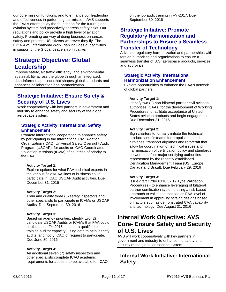our core mission functions, and to enhance our leadership and effectiveness in performing our mission. AVS supports the FAA's efforts to lay the foundation for the future global aviation system and proactively address safety risks. Our regulations and policy provide a high level of aviation safety. Promoting our way of doing business enhances safety and protects US citizens wherever they fly. The FY16 AVS International Work Plan includes our activities in support of the Global Leadership Initiative.

# **Strategic Objective: Global Leadership**

Improve safety, air traffic efficiency, and environmental sustainability across the globe through an integrated, data-informed approach that shapes global standards and enhances collaboration and harmonization.

# **Strategic Initiative: Ensure Safety & Security of U.S. Lives**

Work cooperatively with key partners in government and industry to enhance safety and security of the global aerospace system.

### **Strategic Activity: International Safety Enhancement**

Promote international cooperation to enhance safety by participating in the International Civil Aviation Organization (ICAO) Universal Safety Oversight Audit Program (USOAP), for audits or ICAO Coordinated Validation Missions (ICVM) of countries of priority to the FAA.

### **Activity Target 1:**

Explore options for what FAA technical experts in the various fields/FAA lines of business could participate in ICAO USOAP Audit activities. Due December 31, 2015

### **Activity Target 2:**

Train and qualify three (3) safety inspectors and other specialists to participate in ICVMs or USOAP Audits. Due September 30, 2016

### **Activity Target 3:**

Based on agency priorities, identify two (2) candidate USOAP Audits or ICVMs that FAA could participate in FY-2016 in either a qualified or training auditor capacity, using data to help identify audits, and notify ICAO of request to participate. Due June 30, 2016

#### **Activity Target 4:**

An additional seven (7) safety inspectors and other specialists complete ICAO academic requirements for auditors to be available for ICAO on the job audit training in FY-2017. Due September 30, 2016

### **Strategic Initiative: Promote Regulatory Harmonization and Partnerships to Ensure a Seamless Transfer of Technology**

Advance regulatory harmonization and partnerships with foreign authorities and organizations to ensure a seamless transfer of U.S. aerospace products, services, and approvals.

### **Strategic Activity: International Harmonization Enhancement**

Explore opportunities to enhance the FAA's network of global partners.

#### **Activity Target 1:**

Identify two (2) non-bilateral partner civil aviation authorities (CAAs) for the development of Working Procedures to facilitate acceptance of United States aviation products and begin engagement. Due December 31, 2015

#### **Activity Target 2:**

Sign charters to formally initiate the technical product specific teams for propulsion, small airplanes, transport airplanes and rotorcraft that allow for coordination of technical issues and harmonization of certification policy and standards between the four major certifying authorities represented by the recently established Certification Management Team (US, Europe, Canada and Brazil). Due February 29, 2016

### **Activity Target 3:**

Issue draft Order 8110.52B - Type Validation Procedures - to enhance leveraging of bilateral partner certification systems using a risk based approach to validation that scales FAA level of involvement in approving foreign designs based on factors such as demonstrated CAA capability and technology. Due August 31, 2016

# **Internal Work Objective: AVS Core- Ensure Safety and Security of U.S. Lives**

AVS will work cooperatively with key partners in government and industry to enhance the safety and security of the global aerospace system.

## **Internal Work Initiative: International Safety**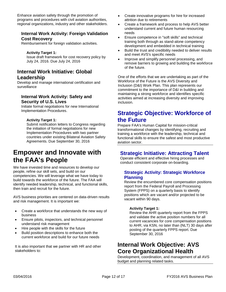Enhance aviation safety through the promotion of programs and procedures with civil aviation authorities, regional organizations, industry and other stakeholders.

### **Internal Work Activity: Foreign Validation Cost Recovery**

Reimbursement for foreign validation activities.

**Activity Target 1:** Issue draft framework for cost recovery policy by July 24, 2016. Due July 24, 2016

### **Internal Work Initiative: Global Leadership**

Develop and manage international certification and surveillance

### **Internal Work Activity: Safety and Security of U.S. Lives**

Initiate formal negotiations for new International Implementation Procedures.

### **Activity Target 1:**

Submit notification letters to Congress regarding the initiation of formal negotiations for new Implementation Procedures with two partner countries under existing Bilateral Aviation Safety Agreements. Due September 30, 2016

# **Empower and Innovate with the FAA's People**

We have invested time and resources to develop our people, refine our skill sets, and build on our competencies. We will leverage what we have today to build towards the workforce of the future. The FAA will identify needed leadership, technical, and functional skills, then train and recruit for the future.

AVS business priorities are centered on data-driven results and risk management. It is important we:

- Create a workforce that understands the new way of business
- Ensure pilots, inspectors, and technical personnel understand risk management
- Hire people with the skills for the future
- Build position descriptions to enhance both the current workforce and build for our future needs

It is also important that we partner with HR and other stakeholders to:

- Create innovative programs for hire for increased attrition due to retirements
- Create a framework and process to help AVS better understand current and future human resourcing needs
- Ensure competence in "soft skills" and technical training both through as stand-alone competency development and embedded in technical training
- Build the trust and credibility needed to deliver results and meet AVS's specific needs
- Improve and simplify personnel processing, and remove barriers to growing and building the workforce of the future.

One of the efforts that we are undertaking as part of the Workforce of the Future is the AVS Diversity and Inclusion (D&I) Work Plan. This plan represents our commitment to the importance of D&I in building and maintaining a strong workforce and identifies specific activities aimed at increasing diversity and improving inclusion.

# **Strategic Objective: Workforce of the Future**

Prepare FAA's Human Capital for mission-critical transformational changes by identifying, recruiting and training a workforce with the leadership, technical and functional skills to ensure the safest and most productive aviation sector.

# **Strategic Initiative: Attracting Talent**

Operate efficient and effective hiring processes and conduct consistent corporate on-boarding.

### **Strategic Activity: Strategic Workforce Planning**

Review the encumbered core compensation positions report from the Federal Payroll and Processing System (FPPS) on a quarterly basis to identify positions which are vacant and/or projected to be vacant within 90 days.

### **Activity Target 1:**

Review the AHR quarterly report from the FPPS and validate the active position numbers for all current vacancies for core compensation positions to AHR, via KSN, no later than (NLT) 30 days after posting of the quarterly FPPS report. Due September 30, 2016

# **Internal Work Objective: AVS Core Organizational Health**

Development, coordination, and management of all AVS budget and planning related tasks.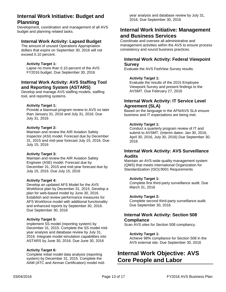### **Internal Work Initiative: Budget and Planning**

Development, coordination and management of all AVS budget and planning related tasks.

### **Internal Work Activity: Lapsed Budget**

The amount of unused Operations Appropriation dollars that expire on September 30, 2016 will not exceed 0.10 percent.

#### **Activity Target 1:**

Lapse no more than 0.10 percent of the AVS FY2016 budget. Due September 30, 2016

### **Internal Work Activity: AVS Staffing Tool and Reporting System (ASTARS)**

Develop and manage AVS staffing models, staffing tool, and reporting systems.

#### **Activity Target 1:**

Provide a biannual program review to AVS no later than January 31, 2016 and July 31, 2016. Due July 31, 2016

#### **Activity Target 2:**

Maintain and review the AIR Aviation Safety Inspector (ASI) model. Forecast due by December 31, 2015 and mid-year forecast July 15, 2016. Due July 15, 2016

#### **Activity Target 3:**

Maintain and review the AIR Aviation Safety Engineer (ASE) model. Forecast due by December 31, 2015 and mid-year forecast due by July 15, 2016. Due July 15, 2016

#### **Activity Target 4:**

Develop an updated AFS Model for the AVS Workforce plan by December 31, 2015. Develop a plan for web-based model by June 30, 2016. Establish and review performance measures for AFS Workforce model with additional functionality and enhanced reports by September 30, 2016. Due September 30, 2016

#### **Activity Target 5:**

Implement SS model (reporting system) by December 31, 2015. Complete the SS model midyear analysis and database review by July 31, 2016. Integrate model simulation capabilities into ASTARS by June 30, 2016. Due June 30, 2016

#### **Activity Target 6:**

Complete initial model data analysis (reporting system) by December 31, 2015. Complete the AAM (ATC and Airman Certification) model midyear analysis and database review by July 31, 2016. Due September 30, 2016

### **Internal Work Initiative: Management and Business Services**

Coordinate and oversee all administrative and management activities within the AVS to ensure process consistency and sound business practices.

### **Internal Work Activity: Federal Viewpoint Survey**

Evaluate the AVS FedView Survey results.

#### **Activity Target 1:**

Evaluate the results of the 2015 Employee Viewpoint Survey and present findings to the AVSMT. Due February 27, 2016

### **Internal Work Activity: IT Service Level Agreement (SLA)**

Based on the language in the AFN/AVS SLA ensure business and IT expectations are being met.

#### **Activity Target 1:**

Conduct a quarterly program review of IT and submit to AVSMT. (Interim dates: Jan 30, 2016, April 30, 2016, July 30, 2016) Due September 30, 2016

### **Internal Work Activity: AVS Surveillance Audits**

Maintain an AVS-wide quality management system (QMS) that meets International Organization for Standardization (ISO):9001 Requirements

#### **Activity Target 1:**

Complete first third-party surveillance audit. Due March 31, 2016

#### **Activity Target 2:**

Complete second third-party surveillance audit. Due September 30, 2016

### **Internal Work Activity: Section 508 Compliance**

Scan AVS sites for Section 508 compliancy.

#### **Activity Target 1:**

Achieve 98% compliance for Section 508 in the AVS external site. Due September 30, 2016

# **Internal Work Objective: AVS Core People and Labor**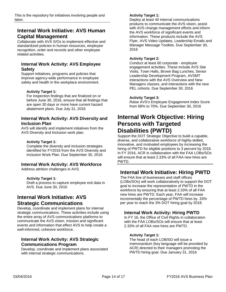This is the repository for initiatives involving people and labor.

# **Internal Work Initiative: AVS Human Capital Management**

Collaborate with AVS S/Os to implement effective and standardized policies in human resources, employee recognition, order and records and other employee related activities.

### **Internal Work Activity: AVS Employee Safety**

Support initiatives, programs and policies that improve agency-wide performance in employee safety and health in the workplace environment.

#### **Activity Target 1:**

For inspection findings that are finalized on or before June 30, 2016, ensure that all findings that are open 30 days or more have current hazard abatement plans. Due July 31, 2016

### **Internal Work Activity: AVS Diversity and Inclusion Plan**

AVS will identify and implement initiatives from the AVS Diversity and Inclusion work plan.

#### **Activity Target 1:**

Complete the diversity and inclusion strategies identified for FY2016 from the AVS Diversity and Inclusion Work Plan. Due September 30, 2016

### **Internal Work Activity: AVS Workforce**

Address attrition challenges in AVS.

### **Activity Target 1:**

Draft a process to capture employee exit data in AVS. Due June 30, 2016

### **Internal Work Initiative: AVS Strategic Communications**

Develop, coordinate and implement plans for internal strategic communications. These activities include using the entire array of AVS communications platforms to communicate the AVS vision, mission and significant events and information that effect AVS to help create a well-informed, cohesive workforce.

### **Internal Work Activity: AVS Strategic Communications Program**

Develop, coordinate and implement plans associated with internal strategic communications.

#### **Activity Target 1:**

Deploy at least 40 internal communications products to communicate the AVS vision, assist with AVS change management efforts and inform the AVS workforce of significant events and information. These products include the AVS Flyer, AVS Video Updates, Leadership Emails and Manager Message Toolkits. Due September 30, 2016

#### **Activity Target 2:**

Conduct at least 60 corporate - employee engagement activities. These include AVS Site Visits, Town Halls, Brown Bag Lunches, Senior Leadership Development Program, AVSMT interactions with the AVS Overview and New Managers classes, and interactions with the new PEL cohorts. Due September 30, 2016

#### **Activity Target 3:**

Raise AVS's Employee Engagement Index Score from 68% to 70%. Due September 30, 2016

# **Internal Work Objective: Hiring Persons with Targeted Disabilities (PWTD)**

Support the DOT Strategic Objective to build a capable, diverse, and collaborative workforce of highly-skilled, innovative, and motivated employees by increasing the hiring of PWTD for eligible positions to 3 percent by 2018. In FY 2016, ACR in collaboration with the FAA LOBs/SOs will ensure that at least 2.33% of all FAA new hires are PWTD.

### **Internal Work Initiative: Hiring PWTD**

The FAA line of businesses and staff offices (LOBs/SOs) will work collaboratively to support the DOT goal to increase the representation of PWTD in the workforce by ensuring that at least 2.33% of all FAA new hires are PWTD. Each year, FAA will increase incrementally the percentage of PWTD hires by .33% per year to reach the 3% DOT hiring goal by 2018.

### **Internal Work Activity: Hiring PWTD**

In FY 16, the Office of Civil Rights in collaboration with the FAA LOBs/SOs will ensure that at least 2.33% of all FAA new hires are PWTD.

### **Activity Target 1:**

The head of each LOB/SO will issue a memorandum (key language will be provided by ACR) directed to their managers promoting the PWTD hiring goal. Due January 31, 2016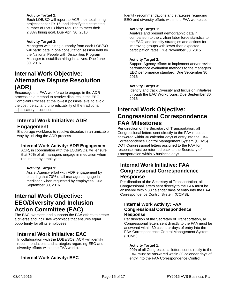### **Activity Target 2:**

Each LOB/SO will report to ACR their total hiring projections for FY 16, and identify the estimated number of PWTD hires required to meet their 2.33% hiring goal. Due April 30, 2016

### **Activity Target 3:**

Managers with hiring authority from each LOB/SO will participate in one consultation session held by the National People with Disabilities Program Manager to establish hiring initiatives. Due June 30, 2016

# **Internal Work Objective: Alternative Dispute Resolution (ADR)**

Encourage the FAA workforce to engage in the ADR process as a method to resolve disputes in the EEO Complaint Process at the lowest possible level to avoid the cost, delay, and unpredictability of the traditional adjudicatory processes.

# **Internal Work Initiative: ADR Engagement**

Encourage workforce to resolve disputes in an amicable way by utilizing the ADR process.

### **Internal Work Activity: ADR Engagement**

ACR, in coordination with the LOBs/SOs, will ensure that 70% of all managers engage in mediation when requested by employees.

### **Activity Target 1:**

Assist Agency effort with ADR engagement by ensuring that 70% of all managers engage in mediation when requested by employees. Due September 30, 2016

# **Internal Work Objective: EEO/Diversity and Inclusion Action Committee (EAC)**

The EAC oversees and supports the FAA efforts to create a diverse and inclusive workplace that ensures equal opportunity for all its employees.

### **Internal Work Initiative: EAC**

In collaboration with the LOBs/SOs, ACR will identify recommendations and strategies regarding EEO and diversity efforts within the FAA workplace.

### **Internal Work Activity: EAC**

Identify recommendations and strategies regarding EEO and diversity efforts within the FAA workplace.

#### **Activity Target 1:**

Analyze and present demographic data in comparison to the civilian labor force statistics to the EAC; and identify strategies and actions for improving groups with lower than expected participation rates. Due November 30, 2015

### **Activity Target 2:**

Support Agency efforts to implement and/or revise performance evaluation methods to the managers EEO performance standard. Due September 30, 2016

### **Activity Target 3:**

Identify and track Diversity and Inclusion initiatives through the EAC Workgroups. Due September 30, 2016

# **Internal Work Objective: Congressional Correspondence FAA Milestones**

Per direction of the Secretary of Transportation, all Congressional letters sent directly to the FAA must be answered within 30 calendar days of entry into the FAA Correspondence Control Management System (CCMS). DOT Congressional letters assigned to the FAA for response must be returned back to the Secretary of Transportation within 5 business days.

### **Internal Work Initiative: FAA Congressional Correspondence Response**

Per direction of the Secretary of Transportation, all Congressional letters sent directly to the FAA must be answered within 30 calendar days of entry into the FAA Correspondence Control System (CCMS).

### **Internal Work Activity: FAA Congressional Correspondence Response**

Per direction of the Secretary of Transportation, all Congressional letters sent directly to the FAA must be answered within 30 calendar days of entry into the FAA Correspondence Control Management System (CCMS).

### **Activity Target 1:**

90% of all Congressional letters sent directly to the FAA must be answered within 30 calendar days of entry into the FAA Correspondence Control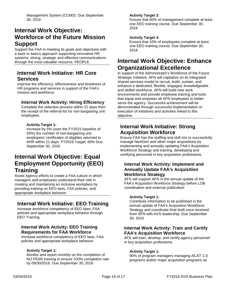Management System (CCMS). Due September 30, 2016

# **Internal Work Objective: Workforce of the Future Mission Support**

Support the FAA in meeting its goals and objectives with a back to basics approach supporting innovative HR systems; strong, strategic and effective communications through the most valuable resource, PEOPLE.

### **Internal Work Initiative: HR Core Services**

Improve the efficiency, effectiveness and timeliness of HR programs and services in support of the FAA's mission and workforce.

### **Internal Work Activity: Hiring Efficiency**

Complete the selection process within 21 days from the receipt of the referral list for non-bargaining unit employees.

### **Activity Target 1:**

Increase by 5% (over the FY2015 baseline of 55%) the number of non-bargaining unit employees' certificates of eligibles returned to AHR within 21 days. FY2016 Target: 60% Due September 30, 2016

# **Internal Work Objective: Equal Employment Opportunity (EEO) Training**

Assist Agency efforts to create a FAA culture in which managers and employees understand their role in creating and maintaining an inclusive workplace by providing training on EEO laws, FAA policies, and appropriate workplace behavior.

# **Internal Work Initiative: EEO Training**

Increase workforce competency of EEO laws, FAA policies and appropriate workplace behavior through EEO Training.

### **Internal Work Activity: EEO Training Requirements for FAA Workforce**

Increase workforce competency of EEO laws, FAA policies and appropriate workplace behavior.

### **Activity Target 1:**

Monitor and report monthly on the completion of NO FEAR training to ensure 100% completion rate by 09/30/2016. Due September 30, 2016

### **Activity Target 2:**

Ensure that 60% of management complete at least one EEO training course. Due September 30, 2016

### **Activity Target 3:**

Ensure that 10% of employees complete at least one EEO training course. Due September 30, 2016

# **Internal Work Objective: Enhance Organizational Excellence**

In support of the Administrator's Workforce of the Future Strategic Initiative, AFN will capitalize on its integrated shared services model to recruit, build, sustain, and enhance a dedicated, flexible, engaged, knowledgeable and skilled workforce. AFN will build new work environments and provide employee training and tools that equip and empower all AFN employees to better serve the agency. Successful achievement will be demonstrated through successful implementation or execution of initiatives and activities linked to this objective.

### **Internal Work Initiative: Strong Acquisition Workforce**

Ensure FAA has the staffing and skill mix to successfully manage NextGen and other major acquisitions by implementing and annually updating FAA's Acquisition Workforce Strategy and training, developing and certifying personnel in key acquisition professions.

### **Internal Work Activity: Implement and Annually Update FAA's Acquisition Workforce Strategy**

AFS will support AFN in the annual update of the FAA's Acquisition Workforce Strategy before LOB coordination and external publication

### **Activity Target 1:**

Contribute information to be published in the annual update of FAA's Acquisition Workforce Strategy and coordinate final draft once received from AFN with AVS leadership. Due September 30, 2016

### **Internal Work Activity: Train and Certify FAA's Acquisition Workforce**

AFS will train, develop, and certify agency personnel in key acquisition professions.

### **Activity Target 1:**

90% of program managers managing ACAT 1-3 programs and/or major acquisition programs as